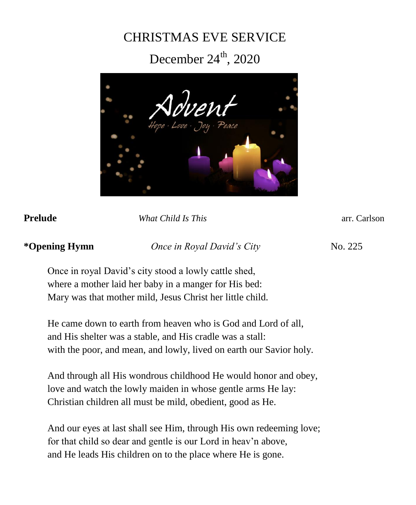# CHRISTMAS EVE SERVICE

# December  $24^{\text{th}}$ , 2020



**Prelude** *What Child Is This* arr. Carlson

# **\*Opening Hymn** *Once in Royal David's City*No. 225

Once in royal David's city stood a lowly cattle shed, where a mother laid her baby in a manger for His bed: Mary was that mother mild, Jesus Christ her little child.

He came down to earth from heaven who is God and Lord of all, and His shelter was a stable, and His cradle was a stall: with the poor, and mean, and lowly, lived on earth our Savior holy.

And through all His wondrous childhood He would honor and obey, love and watch the lowly maiden in whose gentle arms He lay: Christian children all must be mild, obedient, good as He.

And our eyes at last shall see Him, through His own redeeming love; for that child so dear and gentle is our Lord in heav'n above, and He leads His children on to the place where He is gone.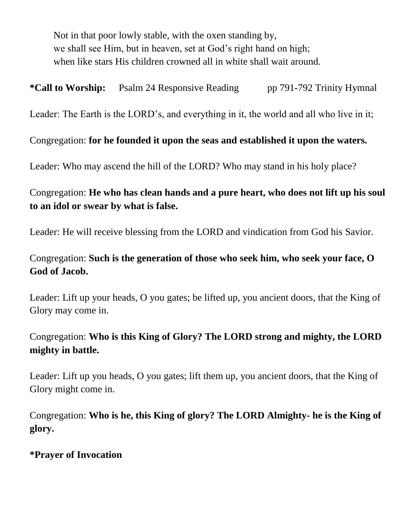Not in that poor lowly stable, with the oxen standing by, we shall see Him, but in heaven, set at God's right hand on high; when like stars His children crowned all in white shall wait around.

**\*Call to Worship:** Psalm 24 Responsive Reading pp 791-792 Trinity Hymnal

Leader: The Earth is the LORD's, and everything in it, the world and all who live in it;

Congregation: **for he founded it upon the seas and established it upon the waters.**

Leader: Who may ascend the hill of the LORD? Who may stand in his holy place?

## Congregation: **He who has clean hands and a pure heart, who does not lift up his soul to an idol or swear by what is false.**

Leader: He will receive blessing from the LORD and vindication from God his Savior.

## Congregation: **Such is the generation of those who seek him, who seek your face, O God of Jacob.**

Leader: Lift up your heads, O you gates; be lifted up, you ancient doors, that the King of Glory may come in.

## Congregation: **Who is this King of Glory? The LORD strong and mighty, the LORD mighty in battle.**

Leader: Lift up you heads, O you gates; lift them up, you ancient doors, that the King of Glory might come in.

Congregation: **Who is he, this King of glory? The LORD Almighty- he is the King of glory.**

## **\*Prayer of Invocation**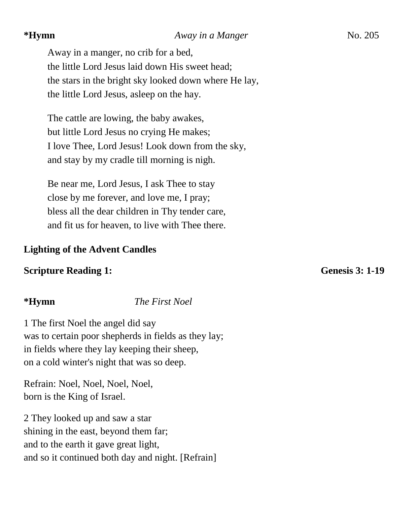#### **\*Hymn** *Away in a Manger*No. 205

Away in a manger, no crib for a bed, the little Lord Jesus laid down His sweet head; the stars in the bright sky looked down where He lay, the little Lord Jesus, asleep on the hay.

The cattle are lowing, the baby awakes, but little Lord Jesus no crying He makes; I love Thee, Lord Jesus! Look down from the sky, and stay by my cradle till morning is nigh.

Be near me, Lord Jesus, I ask Thee to stay close by me forever, and love me, I pray; bless all the dear children in Thy tender care, and fit us for heaven, to live with Thee there.

### **Lighting of the Advent Candles**

### **Scripture Reading 1:** Genesis 3: 1-19

**\*Hymn** *The First Noel*

1 The first Noel the angel did say was to certain poor shepherds in fields as they lay; in fields where they lay keeping their sheep, on a cold winter's night that was so deep.

Refrain: Noel, Noel, Noel, Noel, born is the King of Israel.

2 They looked up and saw a star shining in the east, beyond them far; and to the earth it gave great light, and so it continued both day and night. [Refrain]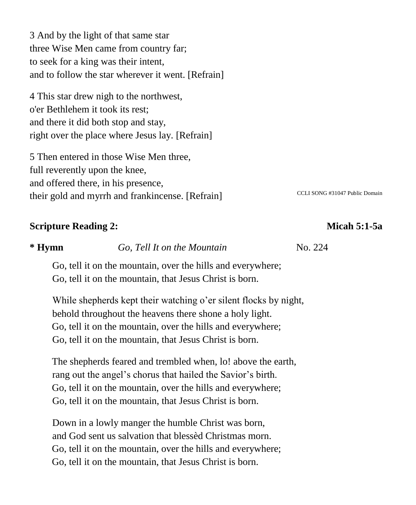3 And by the light of that same star three Wise Men came from country far; to seek for a king was their intent, and to follow the star wherever it went. [Refrain]

4 This star drew nigh to the northwest, o'er Bethlehem it took its rest; and there it did both stop and stay, right over the place where Jesus lay. [Refrain]

5 Then entered in those Wise Men three, full reverently upon the knee, and offered there, in his presence, their gold and myrrh and frankincense. [Refrain] CCLI SONG #31047 Public Domain

### **Scripture Reading 2:** Micah 5:1-5a

# **\* Hymn** *Go, Tell It on the Mountain* No. 224

Go, tell it on the mountain, over the hills and everywhere; Go, tell it on the mountain, that Jesus Christ is born.

While shepherds kept their watching o'er silent flocks by night, behold throughout the heavens there shone a holy light. Go, tell it on the mountain, over the hills and everywhere; Go, tell it on the mountain, that Jesus Christ is born.

The shepherds feared and trembled when, lo! above the earth, rang out the angel's chorus that hailed the Savior's birth. Go, tell it on the mountain, over the hills and everywhere; Go, tell it on the mountain, that Jesus Christ is born.

Down in a lowly manger the humble Christ was born, and God sent us salvation that blessèd Christmas morn. Go, tell it on the mountain, over the hills and everywhere; Go, tell it on the mountain, that Jesus Christ is born.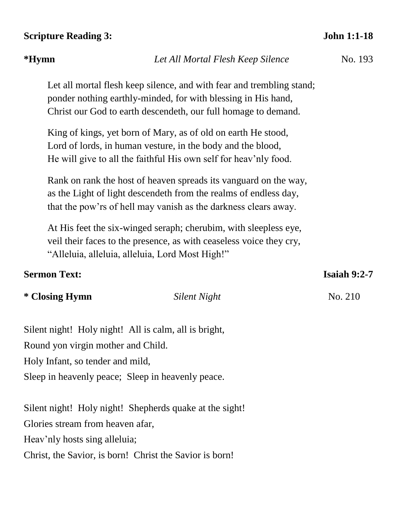#### **Scripture Reading 3: John 1:1-18**

# Let all mortal flesh keep silence, and with fear and trembling stand; ponder nothing earthly-minded, for with blessing in His hand, Christ our God to earth descendeth, our full homage to demand. King of kings, yet born of Mary, as of old on earth He stood, Lord of lords, in human vesture, in the body and the blood, He will give to all the faithful His own self for heav'nly food. Rank on rank the host of heaven spreads its vanguard on the way, as the Light of light descendeth from the realms of endless day,

that the pow'rs of hell may vanish as the darkness clears away.

At His feet the six-winged seraph; cherubim, with sleepless eye, veil their faces to the presence, as with ceaseless voice they cry, "Alleluia, alleluia, alleluia, Lord Most High!"

### **Sermon Text: Isaiah 9:2-7**

#### **\* Closing Hymn** *Silent Night* **No. 210**

Silent night! Holy night! All is calm, all is bright, Round yon virgin mother and Child.

Holy Infant, so tender and mild,

Sleep in heavenly peace; Sleep in heavenly peace.

Silent night! Holy night! Shepherds quake at the sight! Glories stream from heaven afar, Heav'nly hosts sing alleluia;

Christ, the Savior, is born! Christ the Savior is born!

#### **\*Hymn** *Let All Mortal Flesh Keep Silence* No. 193